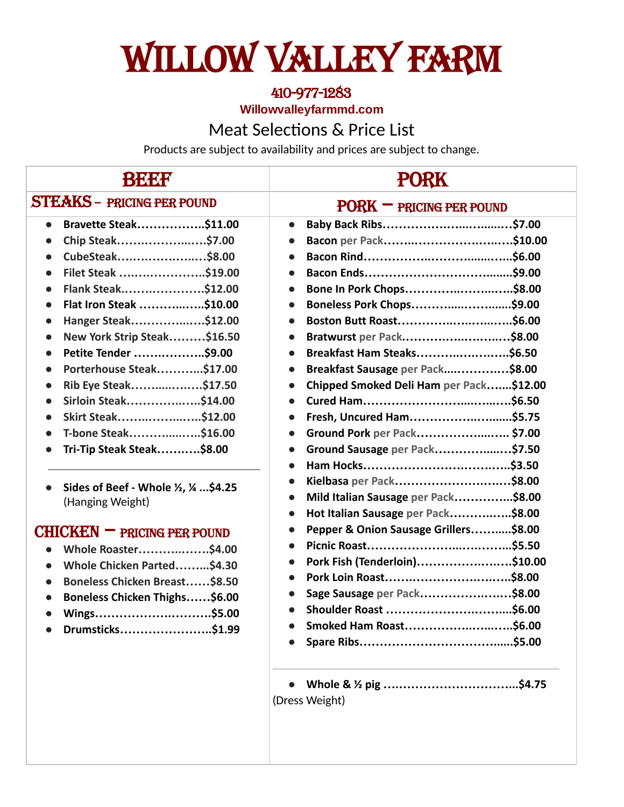## WILLOW VALLEY FARM

## 410-977-1283

**Willowvalleyfarmmd.com**

## Meat Selections & Price List

Products are subject to availability and prices are subject to change.

| BKXX                                                                                                                                                                                                                                                                                                                                                                                                                                                                                                                                                                                                                                                                                                                                                                                                                                             | <b>PORK</b>                                                                                                                                                                                                                                                                                                                                                                                                                                                                                                                                                                                                                                                                                                                                                     |  |
|--------------------------------------------------------------------------------------------------------------------------------------------------------------------------------------------------------------------------------------------------------------------------------------------------------------------------------------------------------------------------------------------------------------------------------------------------------------------------------------------------------------------------------------------------------------------------------------------------------------------------------------------------------------------------------------------------------------------------------------------------------------------------------------------------------------------------------------------------|-----------------------------------------------------------------------------------------------------------------------------------------------------------------------------------------------------------------------------------------------------------------------------------------------------------------------------------------------------------------------------------------------------------------------------------------------------------------------------------------------------------------------------------------------------------------------------------------------------------------------------------------------------------------------------------------------------------------------------------------------------------------|--|
| <b>STEAKS - PRICING PER POUND</b>                                                                                                                                                                                                                                                                                                                                                                                                                                                                                                                                                                                                                                                                                                                                                                                                                | $PORK = PRCING PER POUND$                                                                                                                                                                                                                                                                                                                                                                                                                                                                                                                                                                                                                                                                                                                                       |  |
| Bravette Steak\$11.00<br>$\bullet$<br>Chip Steak\$7.00<br>$\bullet$<br>CubeSteak\$8.00<br>$\bullet$<br>Filet Steak \$19.00<br>$\bullet$<br>Flank Steak\$12.00<br>$\bullet$<br>Flat Iron Steak \$10.00<br>$\bullet$<br>Hanger Steak\$12.00<br>$\bullet$<br>New York Strip Steak\$16.50<br>$\bullet$<br>Petite Tender \$9.00<br>$\bullet$<br>Porterhouse Steak\$17.00<br>$\bullet$<br>Rib Eye Steak\$17.50<br>$\bullet$<br>Sirloin Steak\$14.00<br>$\bullet$<br>Skirt Steak\$12.00<br>$\bullet$<br>T-bone Steak\$16.00<br>$\bullet$<br>Tri-Tip Steak Steak\$8.00<br>Sides of Beef - Whole 1/2, 1/4  \$4.25<br>(Hanging Weight)<br>$CHICKEN = PRCING PER POUND$<br>Whole Roaster\$4.00<br>Whole Chicken Parted\$4.30<br>$\bullet$<br>Boneless Chicken Breast\$8.50<br>$\bullet$<br>Boneless Chicken Thighs\$6.00<br>Wings\$5.00<br>Drumsticks\$1.99 | $\bullet$<br>$\bullet$<br>Bone In Pork Chops\$8.00<br>$\bullet$<br>$\bullet$<br>$\bullet$<br>Bratwurst per Pack\$8.00<br>$\bullet$<br>Breakfast Ham Steaks\$6.50<br>$\bullet$<br>Breakfast Sausage per Pack\$8.00<br>$\bullet$<br>Chipped Smoked Deli Ham per Pack\$12.00<br>$\bullet$<br>$\bullet$<br>Fresh, Uncured Ham\$5.75<br>$\bullet$<br>Ground Pork per Pack \$7.00<br>$\bullet$<br>Ground Sausage per Pack\$7.50<br>$\bullet$<br>$\bullet$<br>Kielbasa per Pack\$8.00<br>$\bullet$<br>Mild Italian Sausage per Pack\$8.00<br>$\bullet$<br>Hot Italian Sausage per Pack\$8.00<br>$\bullet$<br>Pepper & Onion Sausage Grillers\$8.00<br>$\bullet$<br>$\bullet$<br>Pork Fish (Tenderloin)\$10.00<br>Sage Sausage per Pack\$8.00<br>Smoked Ham Roast\$6.00 |  |
|                                                                                                                                                                                                                                                                                                                                                                                                                                                                                                                                                                                                                                                                                                                                                                                                                                                  | (Dress Weight)                                                                                                                                                                                                                                                                                                                                                                                                                                                                                                                                                                                                                                                                                                                                                  |  |